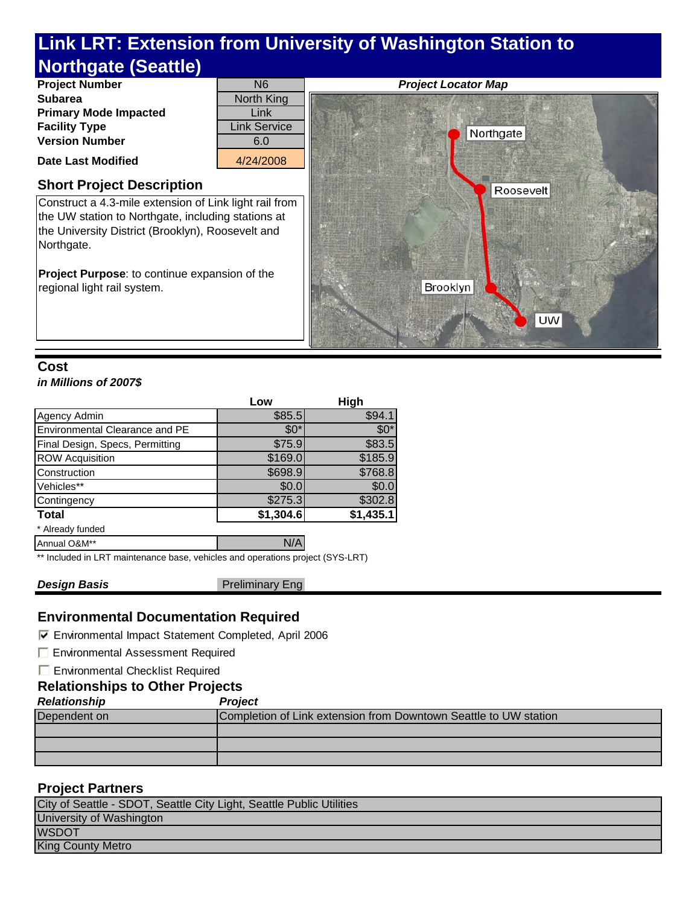

# **Cost**

## *in Millions of 2007\$*

|                                 | Low       | High      |
|---------------------------------|-----------|-----------|
| Agency Admin                    | \$85.5    | \$94.1    |
| Environmental Clearance and PE  | $$0^*$    | $$0^*$    |
| Final Design, Specs, Permitting | \$75.9    | \$83.5    |
| <b>ROW Acquisition</b>          | \$169.0   | \$185.9   |
| Construction                    | \$698.9   | \$768.8   |
| Vehicles**                      | \$0.0     | \$0.0     |
| Contingency                     | \$275.3   | \$302.8   |
| <b>Total</b>                    | \$1,304.6 | \$1,435.1 |
| * Already funded                |           |           |
| Annual O&M**                    | N/A       |           |

\*\* Included in LRT maintenance base, vehicles and operations project (SYS-LRT)

**Design Basis Preliminary Eng** 

## **Environmental Documentation Required**

Environmental Impact Statement Completed, April 2006

**Environmental Assessment Required** 

**E** Environmental Checklist Required

## **Relationships to Other Projects**

#### *Relationship Project*

| Dependent on | Completion of Link extension from Downtown Seattle to UW station |  |
|--------------|------------------------------------------------------------------|--|
|              |                                                                  |  |
|              |                                                                  |  |
|              |                                                                  |  |
|              |                                                                  |  |

# **Project Partners**

| City of Seattle - SDOT, Seattle City Light, Seattle Public Utilities |
|----------------------------------------------------------------------|
| University of Washington                                             |
| <b>WSDOT</b>                                                         |
| <b>King County Metro</b>                                             |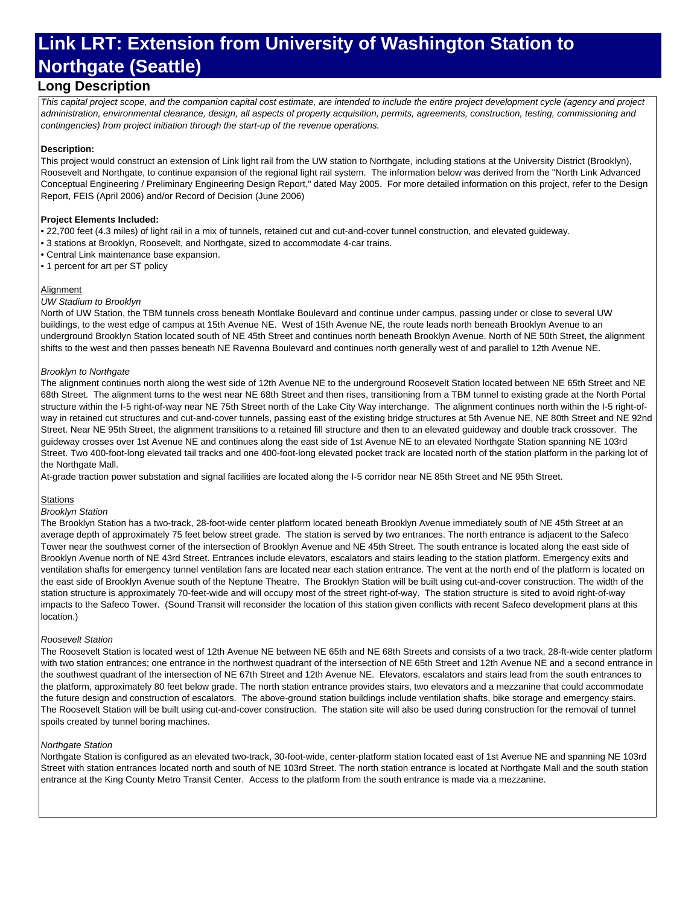# **Long Description**

*This capital project scope, and the companion capital cost estimate, are intended to include the entire project development cycle (agency and project administration, environmental clearance, design, all aspects of property acquisition, permits, agreements, construction, testing, commissioning and contingencies) from project initiation through the start-up of the revenue operations.*

#### **Description:**

This project would construct an extension of Link light rail from the UW station to Northgate, including stations at the University District (Brooklyn), Roosevelt and Northgate, to continue expansion of the regional light rail system. The information below was derived from the "North Link Advanced Conceptual Engineering / Preliminary Engineering Design Report," dated May 2005. For more detailed information on this project, refer to the Design Report, FEIS (April 2006) and/or Record of Decision (June 2006)

#### **Project Elements Included:**

• 22,700 feet (4.3 miles) of light rail in a mix of tunnels, retained cut and cut-and-cover tunnel construction, and elevated guideway.

- 3 stations at Brooklyn, Roosevelt, and Northgate, sized to accommodate 4-car trains.
- Central Link maintenance base expansion.
- 1 percent for art per ST policy

#### **Alignment**

#### *UW Stadium to Brooklyn*

North of UW Station, the TBM tunnels cross beneath Montlake Boulevard and continue under campus, passing under or close to several UW buildings, to the west edge of campus at 15th Avenue NE. West of 15th Avenue NE, the route leads north beneath Brooklyn Avenue to an underground Brooklyn Station located south of NE 45th Street and continues north beneath Brooklyn Avenue. North of NE 50th Street, the alignment shifts to the west and then passes beneath NE Ravenna Boulevard and continues north generally west of and parallel to 12th Avenue NE.

#### *Brooklyn to Northgate*

The alignment continues north along the west side of 12th Avenue NE to the underground Roosevelt Station located between NE 65th Street and NE 68th Street. The alignment turns to the west near NE 68th Street and then rises, transitioning from a TBM tunnel to existing grade at the North Portal structure within the I-5 right-of-way near NE 75th Street north of the Lake City Way interchange. The alignment continues north within the I-5 right-ofway in retained cut structures and cut-and-cover tunnels, passing east of the existing bridge structures at 5th Avenue NE, NE 80th Street and NE 92nd Street. Near NE 95th Street, the alignment transitions to a retained fill structure and then to an elevated guideway and double track crossover. The guideway crosses over 1st Avenue NE and continues along the east side of 1st Avenue NE to an elevated Northgate Station spanning NE 103rd Street. Two 400-foot-long elevated tail tracks and one 400-foot-long elevated pocket track are located north of the station platform in the parking lot of the Northgate Mall.

At-grade traction power substation and signal facilities are located along the I-5 corridor near NE 85th Street and NE 95th Street.

#### **Stations**

#### *Brooklyn Station*

The Brooklyn Station has a two-track, 28-foot-wide center platform located beneath Brooklyn Avenue immediately south of NE 45th Street at an average depth of approximately 75 feet below street grade. The station is served by two entrances. The north entrance is adjacent to the Safeco Tower near the southwest corner of the intersection of Brooklyn Avenue and NE 45th Street. The south entrance is located along the east side of Brooklyn Avenue north of NE 43rd Street. Entrances include elevators, escalators and stairs leading to the station platform. Emergency exits and ventilation shafts for emergency tunnel ventilation fans are located near each station entrance. The vent at the north end of the platform is located on the east side of Brooklyn Avenue south of the Neptune Theatre. The Brooklyn Station will be built using cut-and-cover construction. The width of the station structure is approximately 70-feet-wide and will occupy most of the street right-of-way. The station structure is sited to avoid right-of-way impacts to the Safeco Tower. (Sound Transit will reconsider the location of this station given conflicts with recent Safeco development plans at this location.)

#### *Roosevelt Station*

The Roosevelt Station is located west of 12th Avenue NE between NE 65th and NE 68th Streets and consists of a two track, 28-ft-wide center platform with two station entrances; one entrance in the northwest quadrant of the intersection of NE 65th Street and 12th Avenue NE and a second entrance in the southwest quadrant of the intersection of NE 67th Street and 12th Avenue NE. Elevators, escalators and stairs lead from the south entrances to the platform, approximately 80 feet below grade. The north station entrance provides stairs, two elevators and a mezzanine that could accommodate the future design and construction of escalators. The above-ground station buildings include ventilation shafts, bike storage and emergency stairs. The Roosevelt Station will be built using cut-and-cover construction. The station site will also be used during construction for the removal of tunnel spoils created by tunnel boring machines.

#### *Northgate Station*

Northgate Station is configured as an elevated two-track, 30-foot-wide, center-platform station located east of 1st Avenue NE and spanning NE 103rd Street with station entrances located north and south of NE 103rd Street. The north station entrance is located at Northgate Mall and the south station entrance at the King County Metro Transit Center. Access to the platform from the south entrance is made via a mezzanine.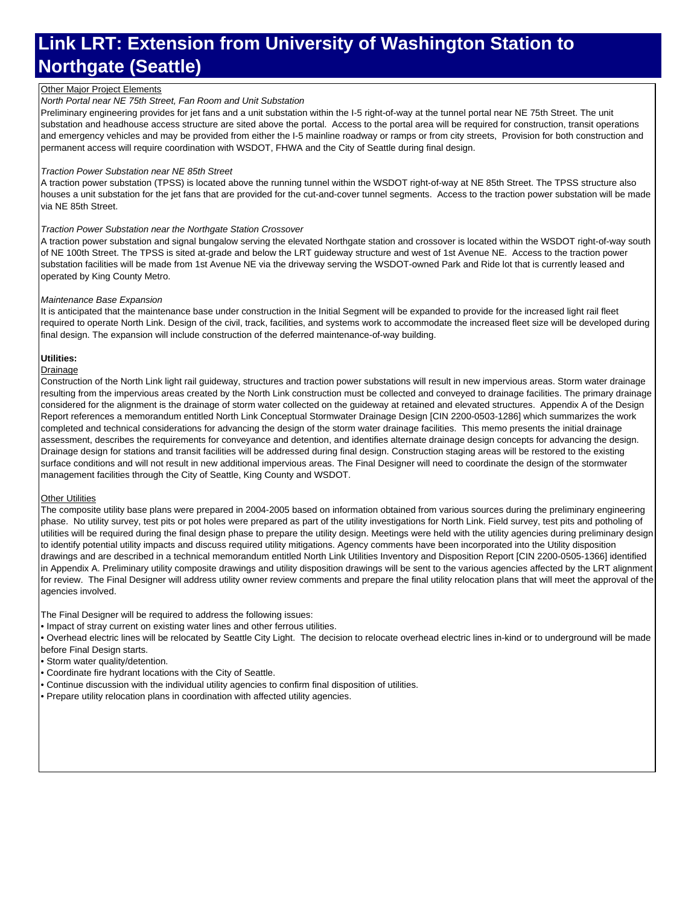#### Other Major Project Elements

#### *North Portal near NE 75th Street, Fan Room and Unit Substation*

Preliminary engineering provides for jet fans and a unit substation within the I-5 right-of-way at the tunnel portal near NE 75th Street. The unit substation and headhouse access structure are sited above the portal. Access to the portal area will be required for construction, transit operations and emergency vehicles and may be provided from either the I-5 mainline roadway or ramps or from city streets, Provision for both construction and permanent access will require coordination with WSDOT, FHWA and the City of Seattle during final design.

#### *Traction Power Substation near NE 85th Street*

A traction power substation (TPSS) is located above the running tunnel within the WSDOT right-of-way at NE 85th Street. The TPSS structure also houses a unit substation for the jet fans that are provided for the cut-and-cover tunnel segments. Access to the traction power substation will be made via NE 85th Street.

#### *Traction Power Substation near the Northgate Station Crossover*

A traction power substation and signal bungalow serving the elevated Northgate station and crossover is located within the WSDOT right-of-way south of NE 100th Street. The TPSS is sited at-grade and below the LRT guideway structure and west of 1st Avenue NE. Access to the traction power substation facilities will be made from 1st Avenue NE via the driveway serving the WSDOT-owned Park and Ride lot that is currently leased and operated by King County Metro.

#### *Maintenance Base Expansion*

It is anticipated that the maintenance base under construction in the Initial Segment will be expanded to provide for the increased light rail fleet required to operate North Link. Design of the civil, track, facilities, and systems work to accommodate the increased fleet size will be developed during final design. The expansion will include construction of the deferred maintenance-of-way building.

#### **Utilities:**

#### **Drainage**

Construction of the North Link light rail guideway, structures and traction power substations will result in new impervious areas. Storm water drainage resulting from the impervious areas created by the North Link construction must be collected and conveyed to drainage facilities. The primary drainage considered for the alignment is the drainage of storm water collected on the guideway at retained and elevated structures. Appendix A of the Design Report references a memorandum entitled North Link Conceptual Stormwater Drainage Design [CIN 2200-0503-1286] which summarizes the work completed and technical considerations for advancing the design of the storm water drainage facilities. This memo presents the initial drainage assessment, describes the requirements for conveyance and detention, and identifies alternate drainage design concepts for advancing the design. Drainage design for stations and transit facilities will be addressed during final design. Construction staging areas will be restored to the existing surface conditions and will not result in new additional impervious areas. The Final Designer will need to coordinate the design of the stormwater management facilities through the City of Seattle, King County and WSDOT.

#### **Other Utilities**

The composite utility base plans were prepared in 2004-2005 based on information obtained from various sources during the preliminary engineering phase. No utility survey, test pits or pot holes were prepared as part of the utility investigations for North Link. Field survey, test pits and potholing of utilities will be required during the final design phase to prepare the utility design. Meetings were held with the utility agencies during preliminary design to identify potential utility impacts and discuss required utility mitigations. Agency comments have been incorporated into the Utility disposition drawings and are described in a technical memorandum entitled North Link Utilities Inventory and Disposition Report [CIN 2200-0505-1366] identified in Appendix A. Preliminary utility composite drawings and utility disposition drawings will be sent to the various agencies affected by the LRT alignment for review. The Final Designer will address utility owner review comments and prepare the final utility relocation plans that will meet the approval of the agencies involved.

The Final Designer will be required to address the following issues:

• Impact of stray current on existing water lines and other ferrous utilities.

• Overhead electric lines will be relocated by Seattle City Light. The decision to relocate overhead electric lines in-kind or to underground will be made before Final Design starts.

• Storm water quality/detention.

• Coordinate fire hydrant locations with the City of Seattle.

• Continue discussion with the individual utility agencies to confirm final disposition of utilities.

• Prepare utility relocation plans in coordination with affected utility agencies.